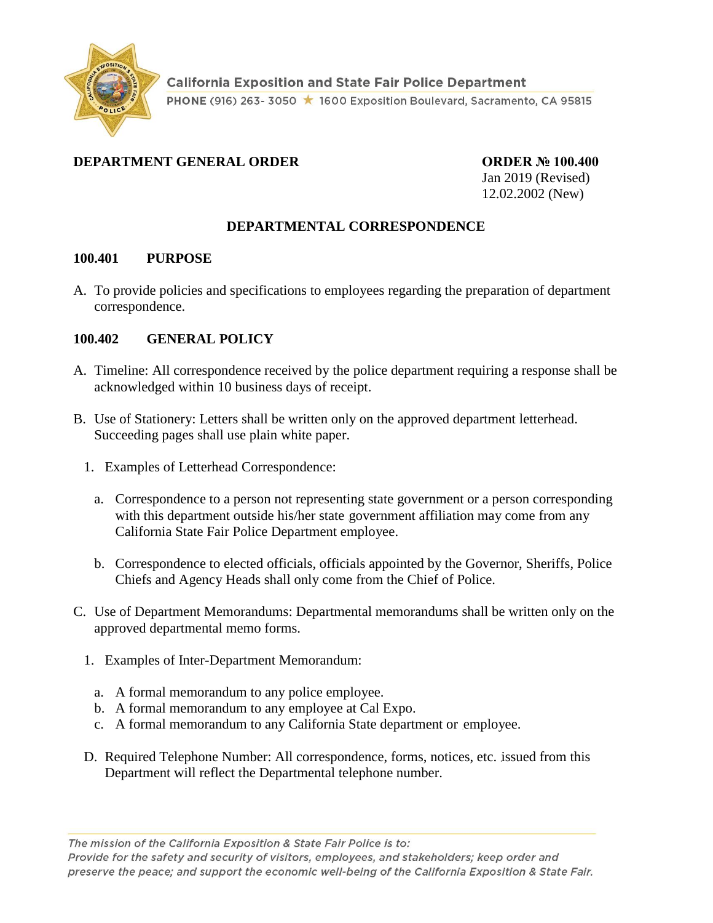

## **DEPARTMENT GENERAL ORDER ORDER № 100.400**

Jan 2019 (Revised) 12.02.2002 (New)

## **DEPARTMENTAL CORRESPONDENCE**

#### **100.401 PURPOSE**

A. To provide policies and specifications to employees regarding the preparation of department correspondence.

### **100.402 GENERAL POLICY**

- A. Timeline: All correspondence received by the police department requiring a response shall be acknowledged within 10 business days of receipt.
- B. Use of Stationery: Letters shall be written only on the approved department letterhead. Succeeding pages shall use plain white paper.
	- 1. Examples of Letterhead Correspondence:
		- a. Correspondence to a person not representing state government or a person corresponding with this department outside his/her state government affiliation may come from any California State Fair Police Department employee.
		- b. Correspondence to elected officials, officials appointed by the Governor, Sheriffs, Police Chiefs and Agency Heads shall only come from the Chief of Police.
- C. Use of Department Memorandums: Departmental memorandums shall be written only on the approved departmental memo forms.
	- 1. Examples of Inter-Department Memorandum:
		- a. A formal memorandum to any police employee.
		- b. A formal memorandum to any employee at Cal Expo.
		- c. A formal memorandum to any California State department or employee.
	- D. Required Telephone Number: All correspondence, forms, notices, etc. issued from this Department will reflect the Departmental telephone number.